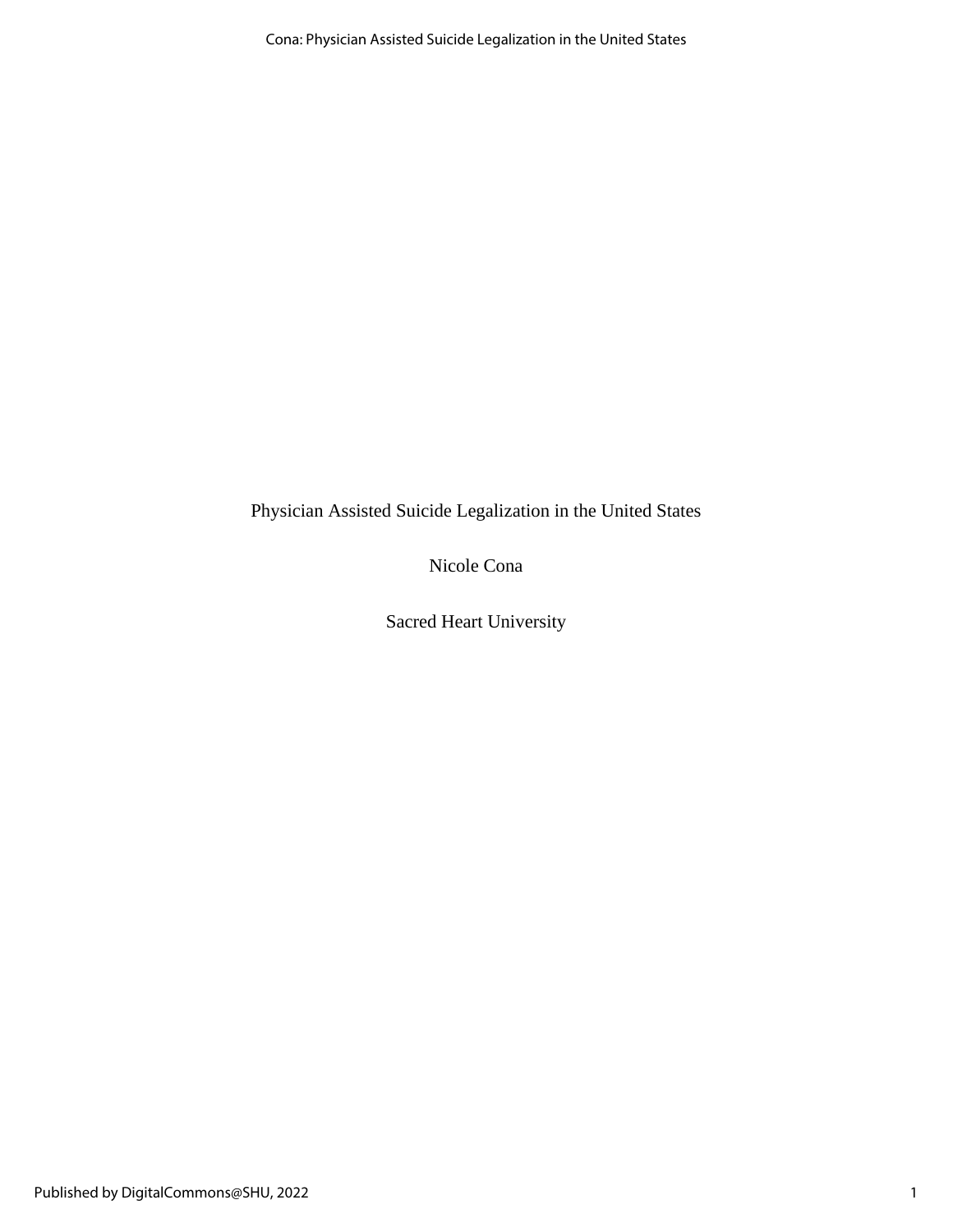Physician Assisted Suicide Legalization in the United States

Nicole Cona

Sacred Heart University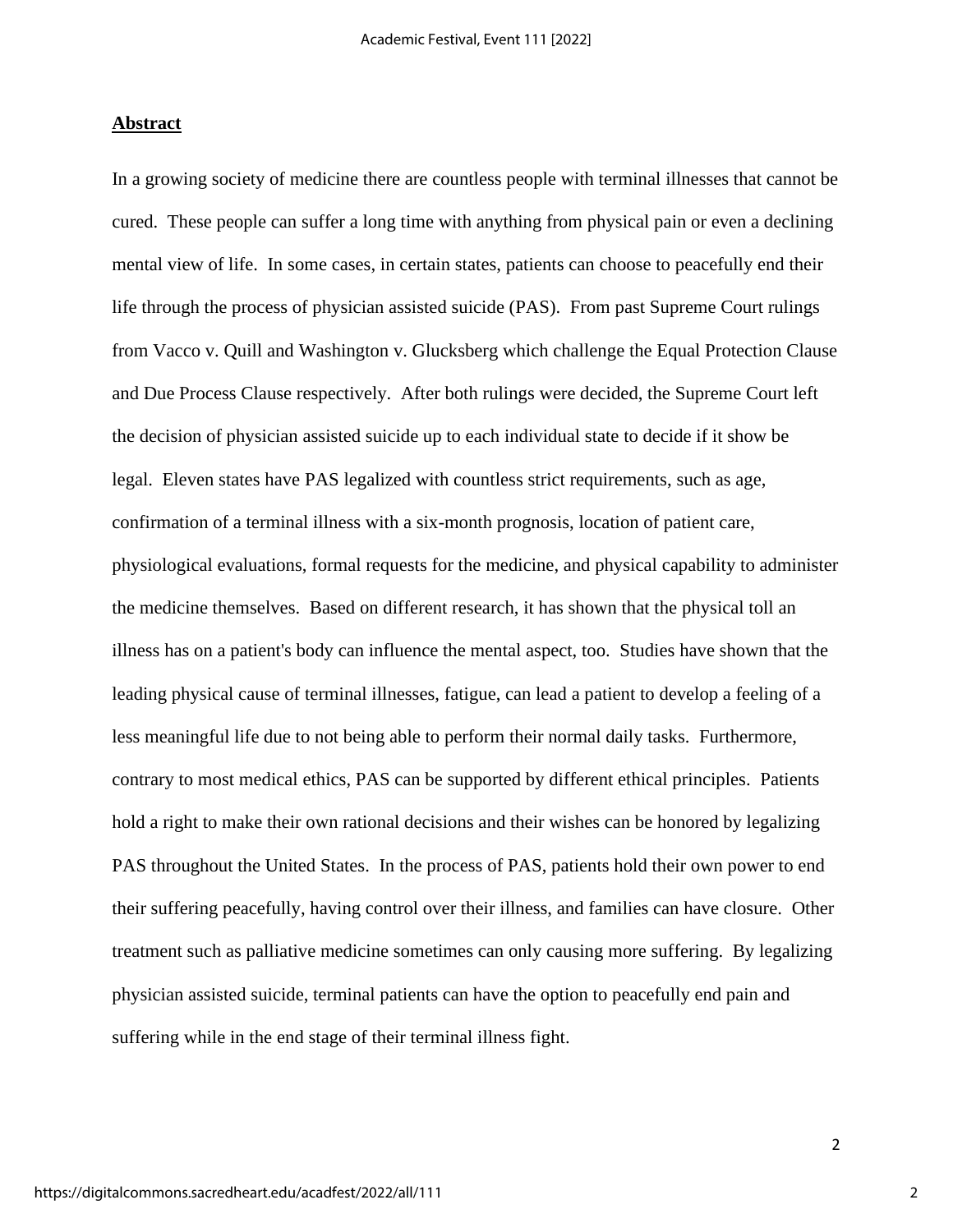#### **Abstract**

In a growing society of medicine there are countless people with terminal illnesses that cannot be cured. These people can suffer a long time with anything from physical pain or even a declining mental view of life. In some cases, in certain states, patients can choose to peacefully end their life through the process of physician assisted suicide (PAS). From past Supreme Court rulings from Vacco v. Quill and Washington v. Glucksberg which challenge the Equal Protection Clause and Due Process Clause respectively. After both rulings were decided, the Supreme Court left the decision of physician assisted suicide up to each individual state to decide if it show be legal. Eleven states have PAS legalized with countless strict requirements, such as age, confirmation of a terminal illness with a six-month prognosis, location of patient care, physiological evaluations, formal requests for the medicine, and physical capability to administer the medicine themselves. Based on different research, it has shown that the physical toll an illness has on a patient's body can influence the mental aspect, too. Studies have shown that the leading physical cause of terminal illnesses, fatigue, can lead a patient to develop a feeling of a less meaningful life due to not being able to perform their normal daily tasks. Furthermore, contrary to most medical ethics, PAS can be supported by different ethical principles. Patients hold a right to make their own rational decisions and their wishes can be honored by legalizing PAS throughout the United States. In the process of PAS, patients hold their own power to end their suffering peacefully, having control over their illness, and families can have closure. Other treatment such as palliative medicine sometimes can only causing more suffering. By legalizing physician assisted suicide, terminal patients can have the option to peacefully end pain and suffering while in the end stage of their terminal illness fight.

2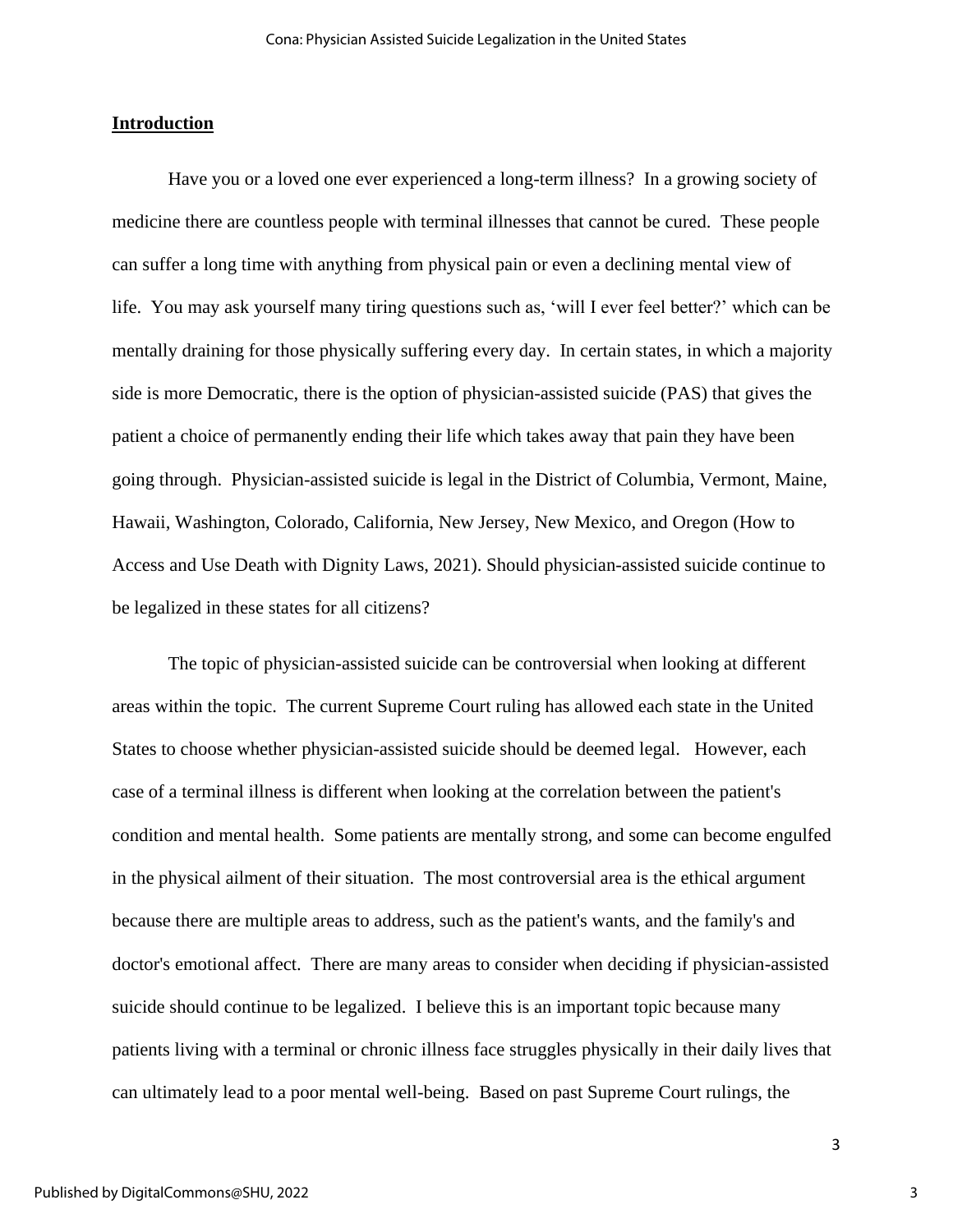## **Introduction**

Have you or a loved one ever experienced a long-term illness? In a growing society of medicine there are countless people with terminal illnesses that cannot be cured. These people can suffer a long time with anything from physical pain or even a declining mental view of life. You may ask yourself many tiring questions such as, 'will I ever feel better?' which can be mentally draining for those physically suffering every day. In certain states, in which a majority side is more Democratic, there is the option of physician-assisted suicide (PAS) that gives the patient a choice of permanently ending their life which takes away that pain they have been going through. Physician-assisted suicide is legal in the District of Columbia, Vermont, Maine, Hawaii, Washington, Colorado, California, New Jersey, New Mexico, and Oregon (How to Access and Use Death with Dignity Laws, 2021). Should physician-assisted suicide continue to be legalized in these states for all citizens?

The topic of physician-assisted suicide can be controversial when looking at different areas within the topic. The current Supreme Court ruling has allowed each state in the United States to choose whether physician-assisted suicide should be deemed legal. However, each case of a terminal illness is different when looking at the correlation between the patient's condition and mental health. Some patients are mentally strong, and some can become engulfed in the physical ailment of their situation. The most controversial area is the ethical argument because there are multiple areas to address, such as the patient's wants, and the family's and doctor's emotional affect. There are many areas to consider when deciding if physician-assisted suicide should continue to be legalized. I believe this is an important topic because many patients living with a terminal or chronic illness face struggles physically in their daily lives that can ultimately lead to a poor mental well-being. Based on past Supreme Court rulings, the

3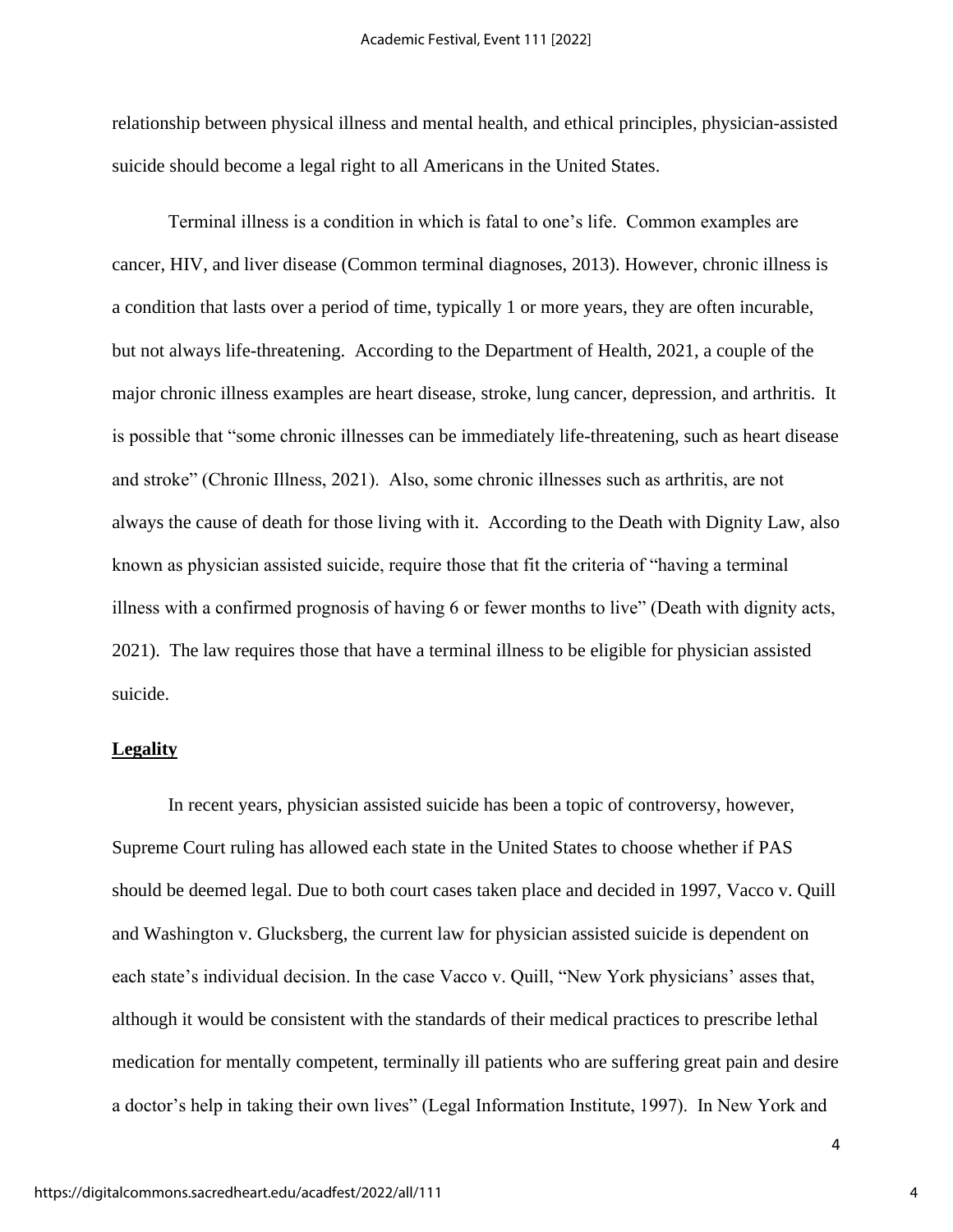relationship between physical illness and mental health, and ethical principles, physician-assisted suicide should become a legal right to all Americans in the United States.

Terminal illness is a condition in which is fatal to one's life. Common examples are cancer, HIV, and liver disease (Common terminal diagnoses, 2013). However, chronic illness is a condition that lasts over a period of time, typically 1 or more years, they are often incurable, but not always life-threatening. According to the Department of Health, 2021, a couple of the major chronic illness examples are heart disease, stroke, lung cancer, depression, and arthritis. It is possible that "some chronic illnesses can be immediately life-threatening, such as heart disease and stroke" (Chronic Illness, 2021). Also, some chronic illnesses such as arthritis, are not always the cause of death for those living with it. According to the Death with Dignity Law, also known as physician assisted suicide, require those that fit the criteria of "having a terminal illness with a confirmed prognosis of having 6 or fewer months to live" (Death with dignity acts, 2021). The law requires those that have a terminal illness to be eligible for physician assisted suicide.

## **Legality**

In recent years, physician assisted suicide has been a topic of controversy, however, Supreme Court ruling has allowed each state in the United States to choose whether if PAS should be deemed legal. Due to both court cases taken place and decided in 1997, Vacco v. Quill and Washington v. Glucksberg, the current law for physician assisted suicide is dependent on each state's individual decision. In the case Vacco v. Quill, "New York physicians' asses that, although it would be consistent with the standards of their medical practices to prescribe lethal medication for mentally competent, terminally ill patients who are suffering great pain and desire a doctor's help in taking their own lives" (Legal Information Institute, 1997). In New York and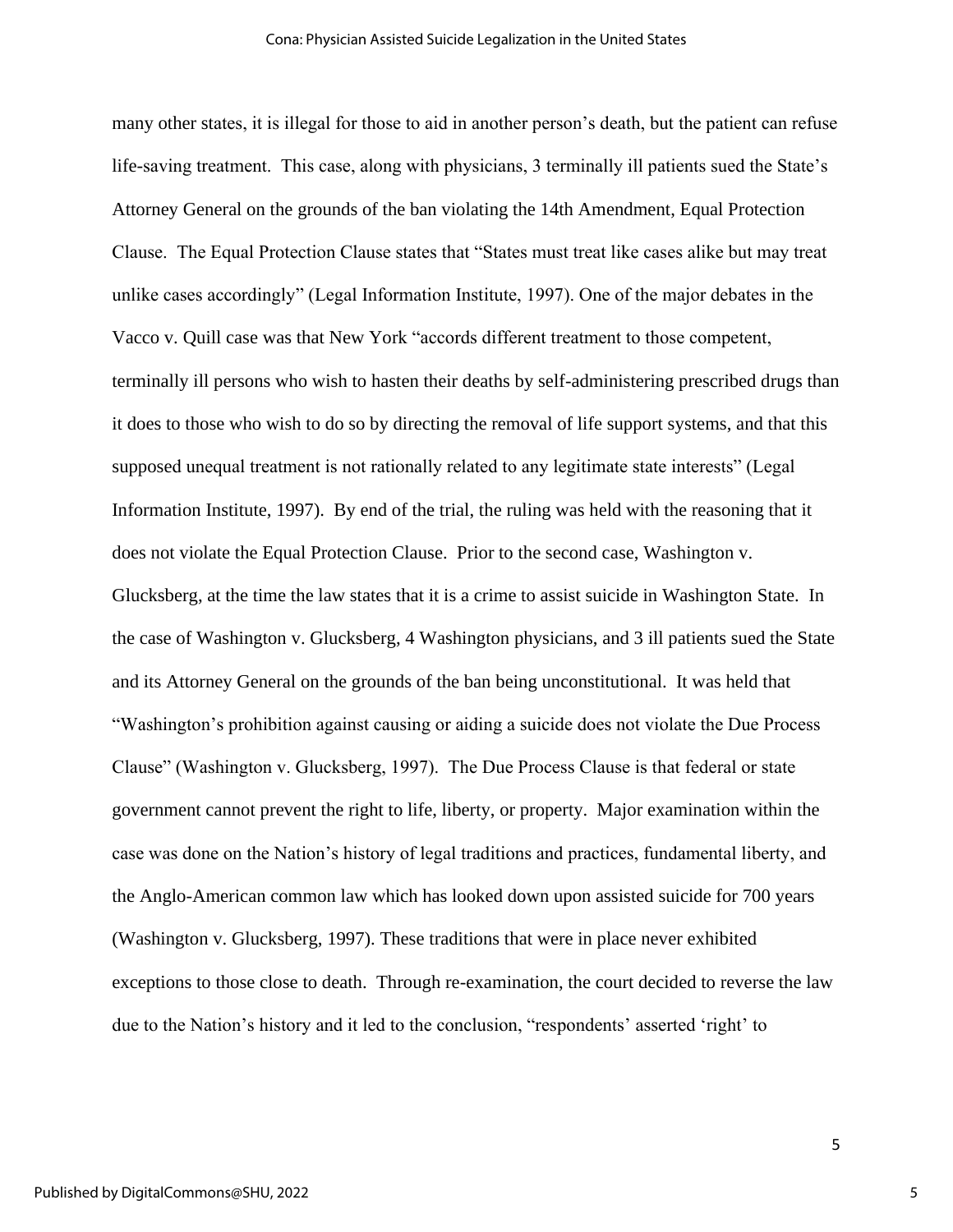many other states, it is illegal for those to aid in another person's death, but the patient can refuse life-saving treatment. This case, along with physicians, 3 terminally ill patients sued the State's Attorney General on the grounds of the ban violating the 14th Amendment, Equal Protection Clause. The Equal Protection Clause states that "States must treat like cases alike but may treat unlike cases accordingly" (Legal Information Institute, 1997). One of the major debates in the Vacco v. Quill case was that New York "accords different treatment to those competent, terminally ill persons who wish to hasten their deaths by self-administering prescribed drugs than it does to those who wish to do so by directing the removal of life support systems, and that this supposed unequal treatment is not rationally related to any legitimate state interests" (Legal Information Institute, 1997). By end of the trial, the ruling was held with the reasoning that it does not violate the Equal Protection Clause. Prior to the second case, Washington v. Glucksberg, at the time the law states that it is a crime to assist suicide in Washington State. In the case of Washington v. Glucksberg, 4 Washington physicians, and 3 ill patients sued the State and its Attorney General on the grounds of the ban being unconstitutional. It was held that "Washington's prohibition against causing or aiding a suicide does not violate the Due Process Clause" (Washington v. Glucksberg, 1997). The Due Process Clause is that federal or state government cannot prevent the right to life, liberty, or property. Major examination within the case was done on the Nation's history of legal traditions and practices, fundamental liberty, and the Anglo-American common law which has looked down upon assisted suicide for 700 years (Washington v. Glucksberg, 1997). These traditions that were in place never exhibited exceptions to those close to death. Through re-examination, the court decided to reverse the law due to the Nation's history and it led to the conclusion, "respondents' asserted 'right' to

5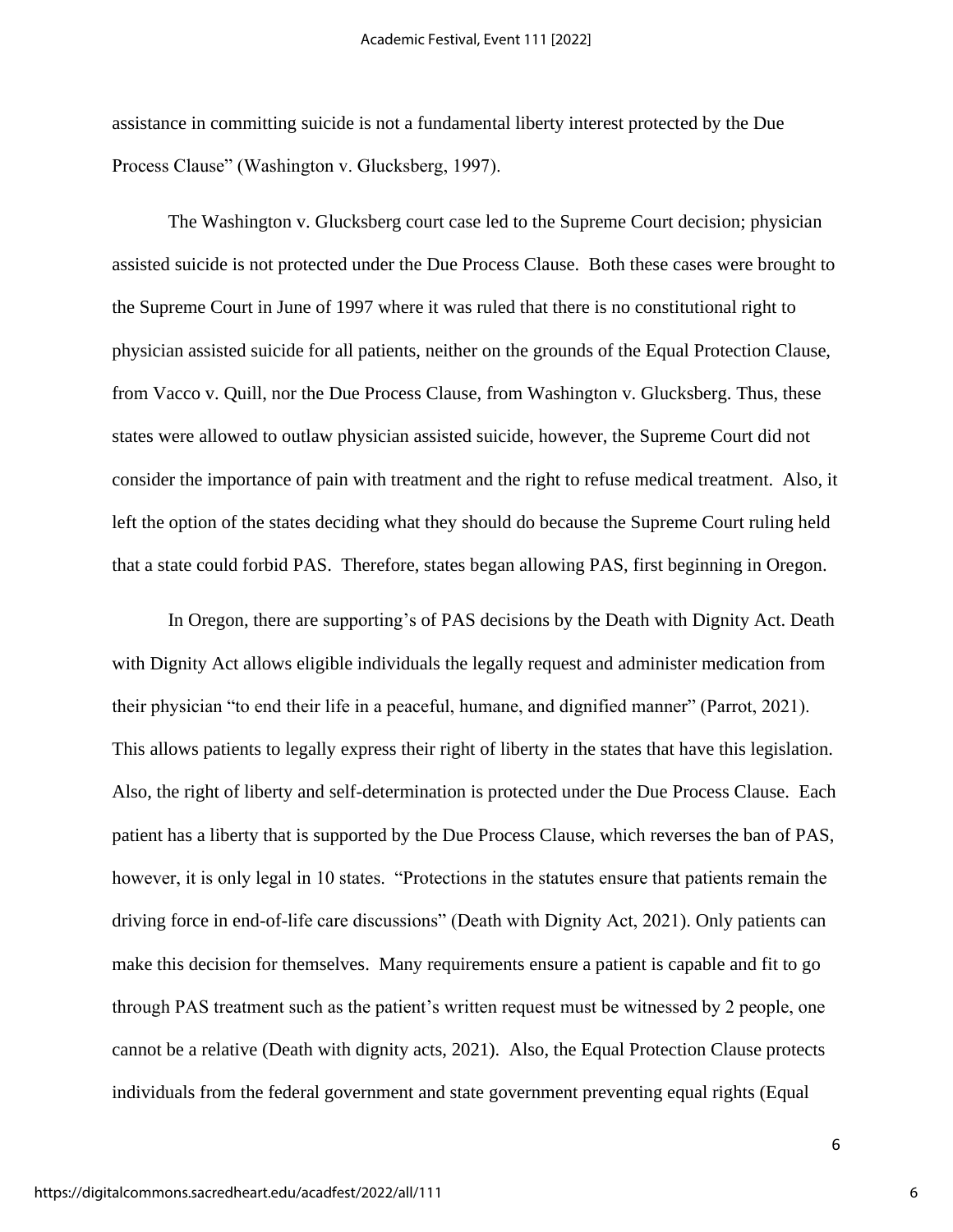assistance in committing suicide is not a fundamental liberty interest protected by the Due Process Clause" (Washington v. Glucksberg, 1997).

The Washington v. Glucksberg court case led to the Supreme Court decision; physician assisted suicide is not protected under the Due Process Clause. Both these cases were brought to the Supreme Court in June of 1997 where it was ruled that there is no constitutional right to physician assisted suicide for all patients, neither on the grounds of the Equal Protection Clause, from Vacco v. Quill, nor the Due Process Clause, from Washington v. Glucksberg. Thus, these states were allowed to outlaw physician assisted suicide, however, the Supreme Court did not consider the importance of pain with treatment and the right to refuse medical treatment. Also, it left the option of the states deciding what they should do because the Supreme Court ruling held that a state could forbid PAS. Therefore, states began allowing PAS, first beginning in Oregon.

In Oregon, there are supporting's of PAS decisions by the Death with Dignity Act. Death with Dignity Act allows eligible individuals the legally request and administer medication from their physician "to end their life in a peaceful, humane, and dignified manner" (Parrot, 2021). This allows patients to legally express their right of liberty in the states that have this legislation. Also, the right of liberty and self-determination is protected under the Due Process Clause. Each patient has a liberty that is supported by the Due Process Clause, which reverses the ban of PAS, however, it is only legal in 10 states. "Protections in the statutes ensure that patients remain the driving force in end-of-life care discussions" (Death with Dignity Act, 2021). Only patients can make this decision for themselves. Many requirements ensure a patient is capable and fit to go through PAS treatment such as the patient's written request must be witnessed by 2 people, one cannot be a relative (Death with dignity acts, 2021). Also, the Equal Protection Clause protects individuals from the federal government and state government preventing equal rights (Equal

6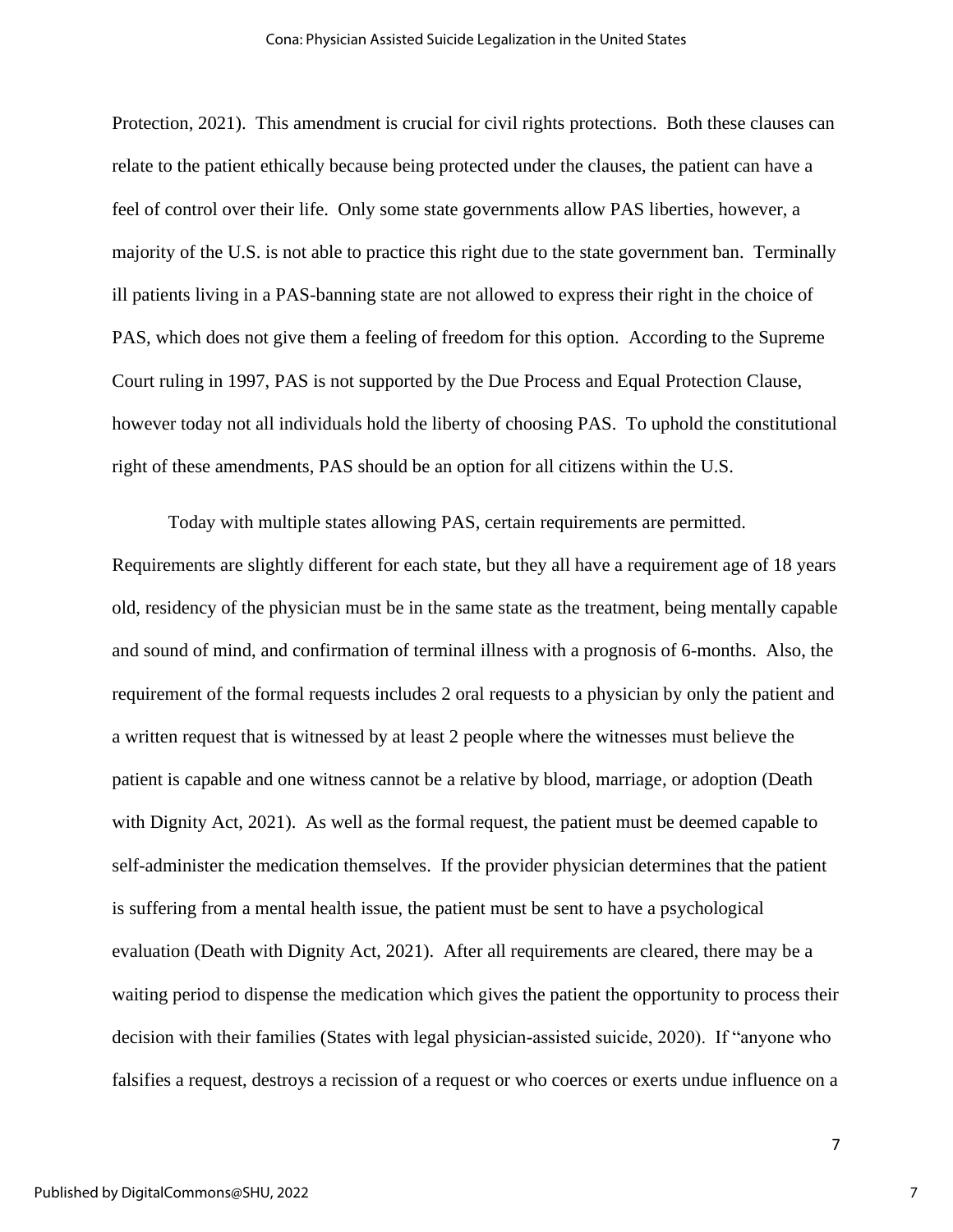Protection, 2021). This amendment is crucial for civil rights protections. Both these clauses can relate to the patient ethically because being protected under the clauses, the patient can have a feel of control over their life. Only some state governments allow PAS liberties, however, a majority of the U.S. is not able to practice this right due to the state government ban. Terminally ill patients living in a PAS-banning state are not allowed to express their right in the choice of PAS, which does not give them a feeling of freedom for this option. According to the Supreme Court ruling in 1997, PAS is not supported by the Due Process and Equal Protection Clause, however today not all individuals hold the liberty of choosing PAS. To uphold the constitutional right of these amendments, PAS should be an option for all citizens within the U.S.

Today with multiple states allowing PAS, certain requirements are permitted. Requirements are slightly different for each state, but they all have a requirement age of 18 years old, residency of the physician must be in the same state as the treatment, being mentally capable and sound of mind, and confirmation of terminal illness with a prognosis of 6-months. Also, the requirement of the formal requests includes 2 oral requests to a physician by only the patient and a written request that is witnessed by at least 2 people where the witnesses must believe the patient is capable and one witness cannot be a relative by blood, marriage, or adoption (Death with Dignity Act, 2021). As well as the formal request, the patient must be deemed capable to self-administer the medication themselves. If the provider physician determines that the patient is suffering from a mental health issue, the patient must be sent to have a psychological evaluation (Death with Dignity Act, 2021). After all requirements are cleared, there may be a waiting period to dispense the medication which gives the patient the opportunity to process their decision with their families (States with legal physician-assisted suicide, 2020). If "anyone who falsifies a request, destroys a recission of a request or who coerces or exerts undue influence on a

7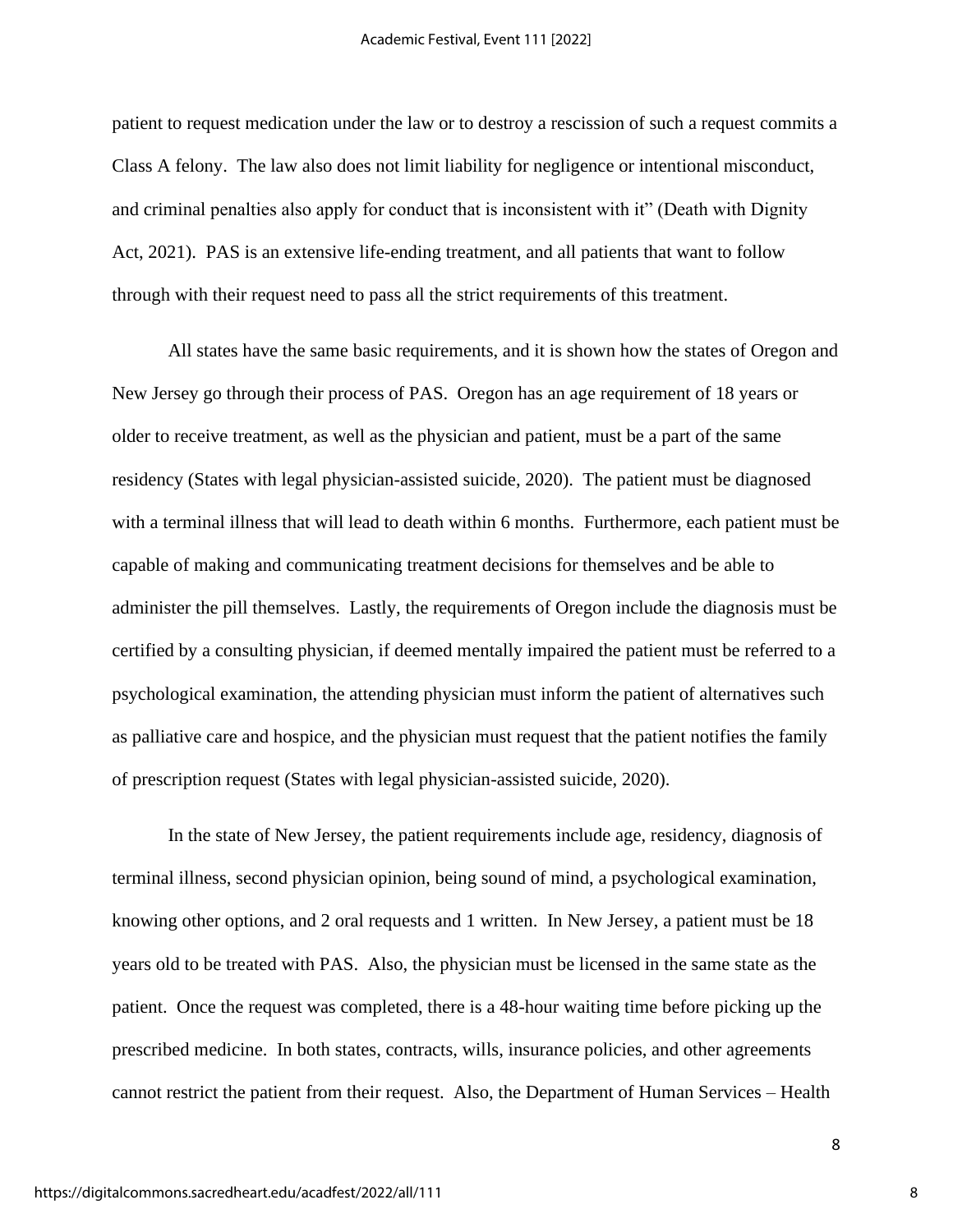patient to request medication under the law or to destroy a rescission of such a request commits a Class A felony. The law also does not limit liability for negligence or intentional misconduct, and criminal penalties also apply for conduct that is inconsistent with it" (Death with Dignity Act, 2021). PAS is an extensive life-ending treatment, and all patients that want to follow through with their request need to pass all the strict requirements of this treatment.

All states have the same basic requirements, and it is shown how the states of Oregon and New Jersey go through their process of PAS. Oregon has an age requirement of 18 years or older to receive treatment, as well as the physician and patient, must be a part of the same residency (States with legal physician-assisted suicide, 2020). The patient must be diagnosed with a terminal illness that will lead to death within 6 months. Furthermore, each patient must be capable of making and communicating treatment decisions for themselves and be able to administer the pill themselves. Lastly, the requirements of Oregon include the diagnosis must be certified by a consulting physician, if deemed mentally impaired the patient must be referred to a psychological examination, the attending physician must inform the patient of alternatives such as palliative care and hospice, and the physician must request that the patient notifies the family of prescription request (States with legal physician-assisted suicide, 2020).

In the state of New Jersey, the patient requirements include age, residency, diagnosis of terminal illness, second physician opinion, being sound of mind, a psychological examination, knowing other options, and 2 oral requests and 1 written. In New Jersey, a patient must be 18 years old to be treated with PAS. Also, the physician must be licensed in the same state as the patient. Once the request was completed, there is a 48-hour waiting time before picking up the prescribed medicine. In both states, contracts, wills, insurance policies, and other agreements cannot restrict the patient from their request. Also, the Department of Human Services – Health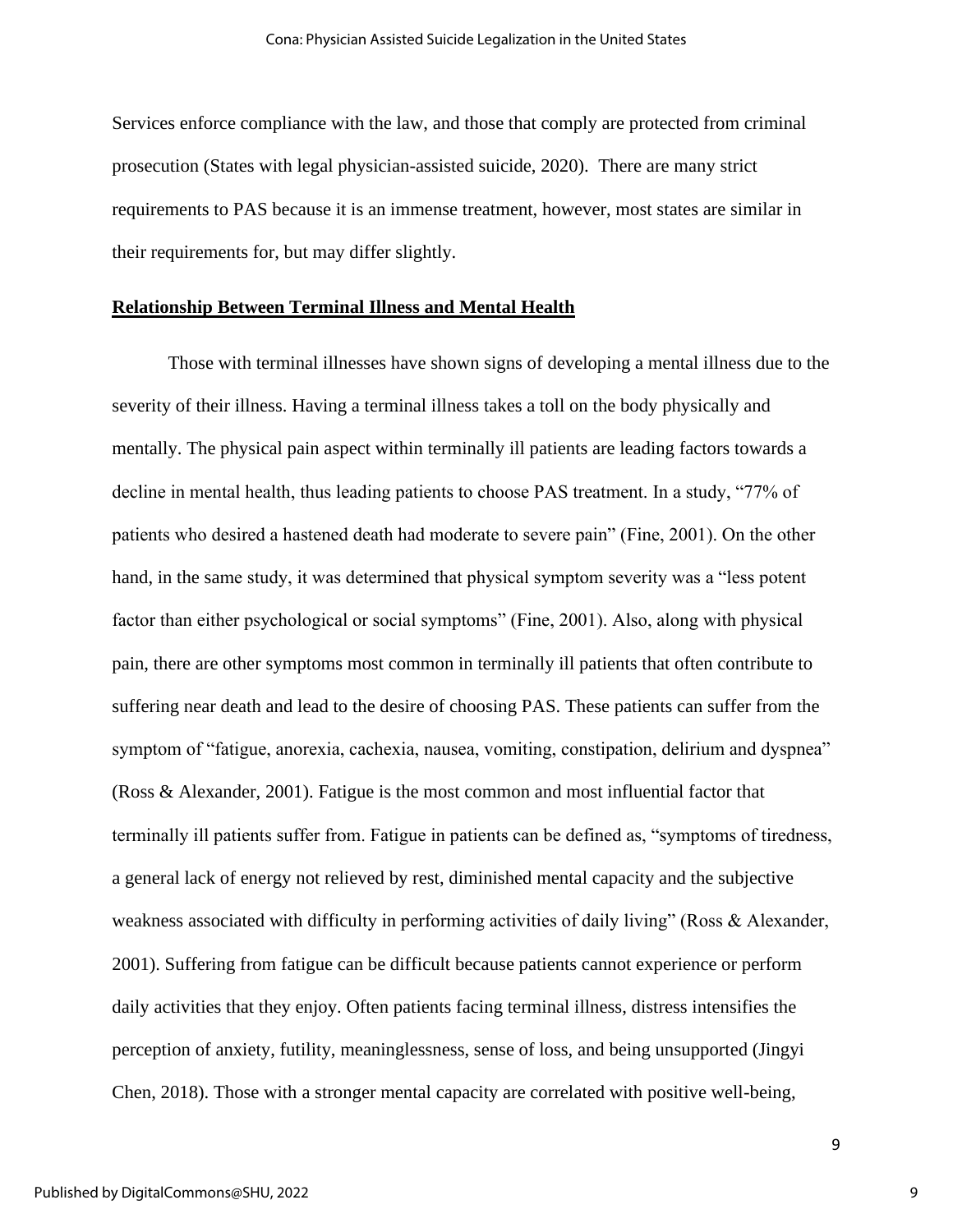Services enforce compliance with the law, and those that comply are protected from criminal prosecution (States with legal physician-assisted suicide, 2020). There are many strict requirements to PAS because it is an immense treatment, however, most states are similar in their requirements for, but may differ slightly.

# **Relationship Between Terminal Illness and Mental Health**

Those with terminal illnesses have shown signs of developing a mental illness due to the severity of their illness. Having a terminal illness takes a toll on the body physically and mentally. The physical pain aspect within terminally ill patients are leading factors towards a decline in mental health, thus leading patients to choose PAS treatment. In a study, "77% of patients who desired a hastened death had moderate to severe pain" (Fine, 2001). On the other hand, in the same study, it was determined that physical symptom severity was a "less potent factor than either psychological or social symptoms" (Fine, 2001). Also, along with physical pain, there are other symptoms most common in terminally ill patients that often contribute to suffering near death and lead to the desire of choosing PAS. These patients can suffer from the symptom of "fatigue, anorexia, cachexia, nausea, vomiting, constipation, delirium and dyspnea" (Ross & Alexander, 2001). Fatigue is the most common and most influential factor that terminally ill patients suffer from. Fatigue in patients can be defined as, "symptoms of tiredness, a general lack of energy not relieved by rest, diminished mental capacity and the subjective weakness associated with difficulty in performing activities of daily living" (Ross & Alexander, 2001). Suffering from fatigue can be difficult because patients cannot experience or perform daily activities that they enjoy. Often patients facing terminal illness, distress intensifies the perception of anxiety, futility, meaninglessness, sense of loss, and being unsupported (Jingyi Chen, 2018). Those with a stronger mental capacity are correlated with positive well-being,

9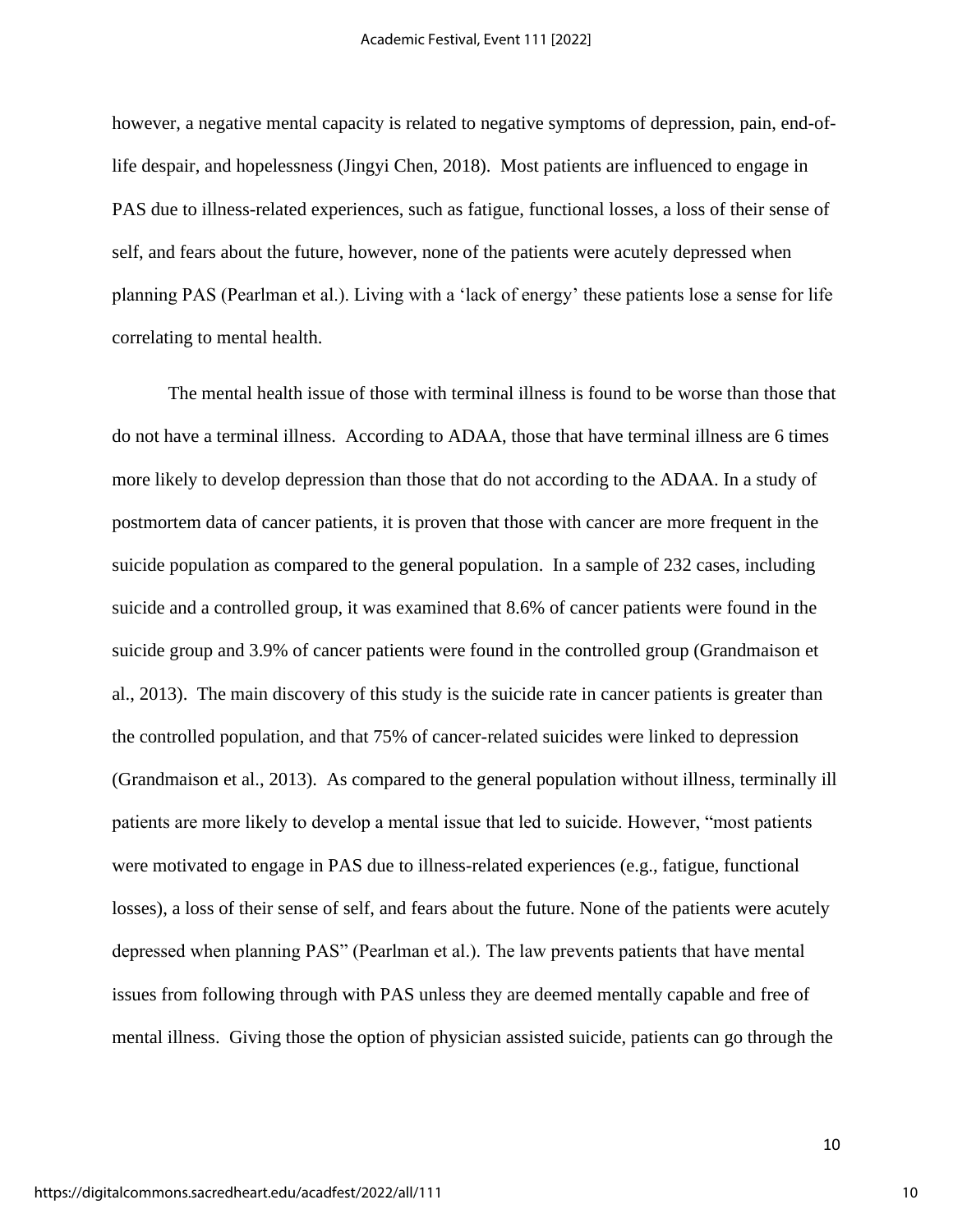however, a negative mental capacity is related to negative symptoms of depression, pain, end-oflife despair, and hopelessness (Jingyi Chen, 2018).Most patients are influenced to engage in PAS due to illness-related experiences, such as fatigue, functional losses, a loss of their sense of self, and fears about the future, however, none of the patients were acutely depressed when planning PAS (Pearlman et al.). Living with a 'lack of energy' these patients lose a sense for life correlating to mental health.

The mental health issue of those with terminal illness is found to be worse than those that do not have a terminal illness. According to ADAA, those that have terminal illness are 6 times more likely to develop depression than those that do not according to the ADAA. In a study of postmortem data of cancer patients, it is proven that those with cancer are more frequent in the suicide population as compared to the general population. In a sample of 232 cases, including suicide and a controlled group, it was examined that 8.6% of cancer patients were found in the suicide group and 3.9% of cancer patients were found in the controlled group (Grandmaison et al., 2013). The main discovery of this study is the suicide rate in cancer patients is greater than the controlled population, and that 75% of cancer-related suicides were linked to depression (Grandmaison et al., 2013). As compared to the general population without illness, terminally ill patients are more likely to develop a mental issue that led to suicide. However, "most patients were motivated to engage in PAS due to illness-related experiences (e.g., fatigue, functional losses), a loss of their sense of self, and fears about the future. None of the patients were acutely depressed when planning PAS" (Pearlman et al.). The law prevents patients that have mental issues from following through with PAS unless they are deemed mentally capable and free of mental illness. Giving those the option of physician assisted suicide, patients can go through the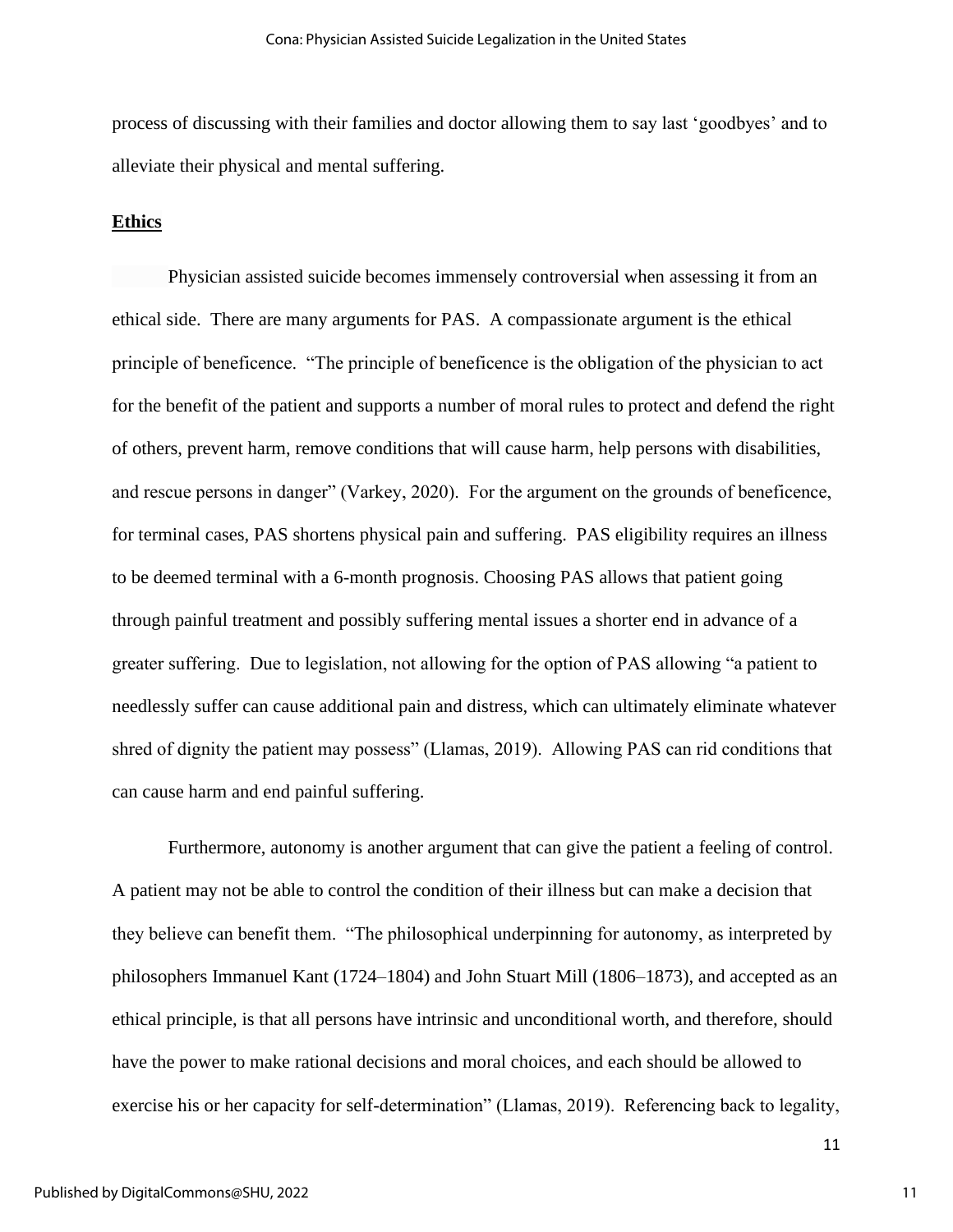process of discussing with their families and doctor allowing them to say last 'goodbyes' and to alleviate their physical and mental suffering.

## **Ethics**

Physician assisted suicide becomes immensely controversial when assessing it from an ethical side. There are many arguments for PAS. A compassionate argument is the ethical principle of beneficence. "The principle of beneficence is the obligation of the physician to act for the benefit of the patient and supports a number of moral rules to protect and defend the right of others, prevent harm, remove conditions that will cause harm, help persons with disabilities, and rescue persons in danger" (Varkey, 2020). For the argument on the grounds of beneficence, for terminal cases, PAS shortens physical pain and suffering. PAS eligibility requires an illness to be deemed terminal with a 6-month prognosis. Choosing PAS allows that patient going through painful treatment and possibly suffering mental issues a shorter end in advance of a greater suffering. Due to legislation, not allowing for the option of PAS allowing "a patient to needlessly suffer can cause additional pain and distress, which can ultimately eliminate whatever shred of dignity the patient may possess" (Llamas, 2019). Allowing PAS can rid conditions that can cause harm and end painful suffering.

Furthermore, autonomy is another argument that can give the patient a feeling of control. A patient may not be able to control the condition of their illness but can make a decision that they believe can benefit them. "The philosophical underpinning for autonomy, as interpreted by philosophers Immanuel Kant (1724–1804) and John Stuart Mill (1806–1873), and accepted as an ethical principle, is that all persons have intrinsic and unconditional worth, and therefore, should have the power to make rational decisions and moral choices, and each should be allowed to exercise his or her capacity for self-determination" (Llamas, 2019). Referencing back to legality,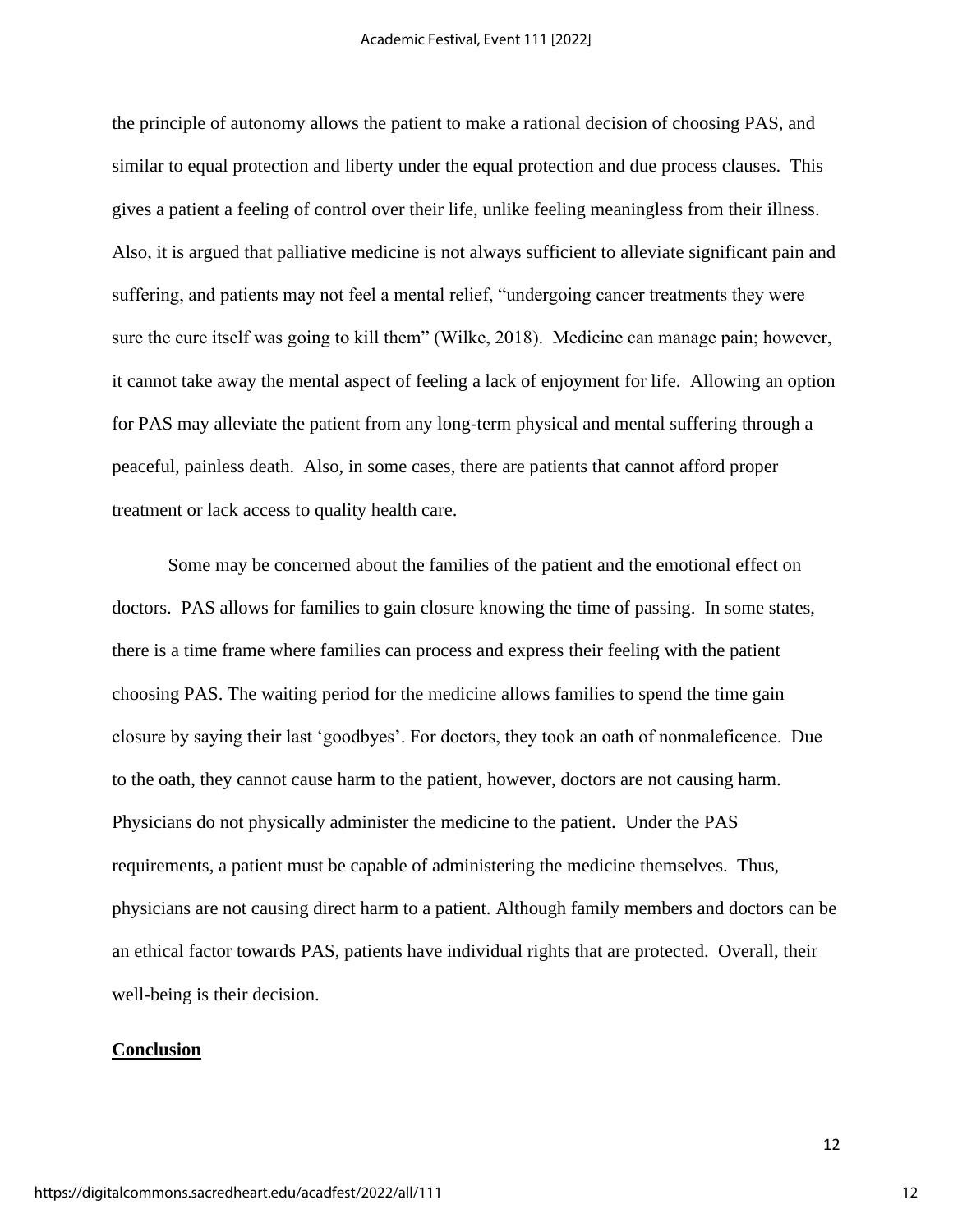the principle of autonomy allows the patient to make a rational decision of choosing PAS, and similar to equal protection and liberty under the equal protection and due process clauses. This gives a patient a feeling of control over their life, unlike feeling meaningless from their illness. Also, it is argued that palliative medicine is not always sufficient to alleviate significant pain and suffering, and patients may not feel a mental relief, "undergoing cancer treatments they were sure the cure itself was going to kill them" (Wilke, 2018). Medicine can manage pain; however, it cannot take away the mental aspect of feeling a lack of enjoyment for life. Allowing an option for PAS may alleviate the patient from any long-term physical and mental suffering through a peaceful, painless death. Also, in some cases, there are patients that cannot afford proper treatment or lack access to quality health care.

Some may be concerned about the families of the patient and the emotional effect on doctors. PAS allows for families to gain closure knowing the time of passing. In some states, there is a time frame where families can process and express their feeling with the patient choosing PAS. The waiting period for the medicine allows families to spend the time gain closure by saying their last 'goodbyes'. For doctors, they took an oath of nonmaleficence. Due to the oath, they cannot cause harm to the patient, however, doctors are not causing harm. Physicians do not physically administer the medicine to the patient. Under the PAS requirements, a patient must be capable of administering the medicine themselves. Thus, physicians are not causing direct harm to a patient. Although family members and doctors can be an ethical factor towards PAS, patients have individual rights that are protected. Overall, their well-being is their decision.

#### **Conclusion**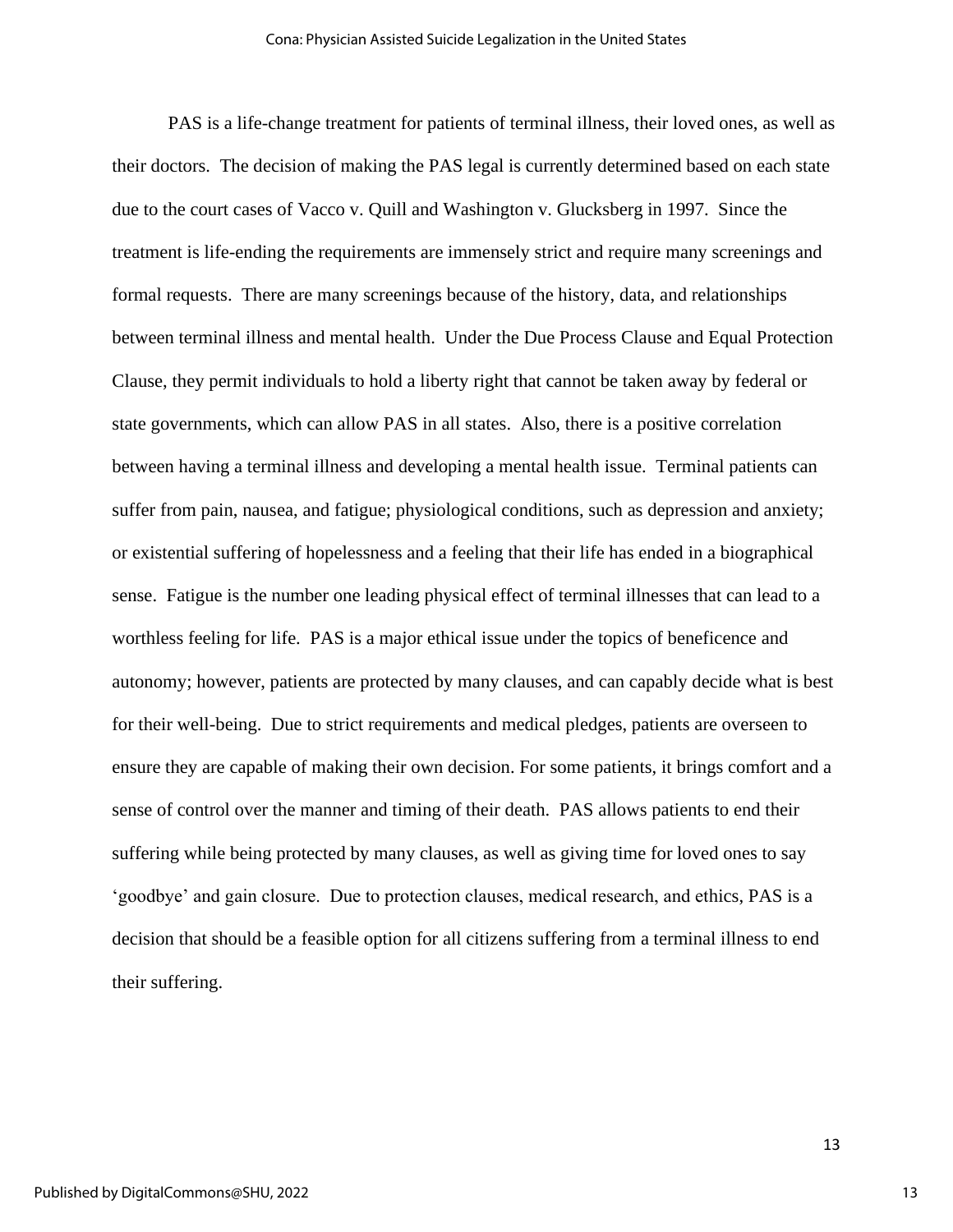PAS is a life-change treatment for patients of terminal illness, their loved ones, as well as their doctors. The decision of making the PAS legal is currently determined based on each state due to the court cases of Vacco v. Quill and Washington v. Glucksberg in 1997. Since the treatment is life-ending the requirements are immensely strict and require many screenings and formal requests. There are many screenings because of the history, data, and relationships between terminal illness and mental health. Under the Due Process Clause and Equal Protection Clause, they permit individuals to hold a liberty right that cannot be taken away by federal or state governments, which can allow PAS in all states. Also, there is a positive correlation between having a terminal illness and developing a mental health issue. Terminal patients can suffer from pain, nausea, and fatigue; physiological conditions, such as depression and anxiety; or existential suffering of hopelessness and a feeling that their life has ended in a biographical sense. Fatigue is the number one leading physical effect of terminal illnesses that can lead to a worthless feeling for life. PAS is a major ethical issue under the topics of beneficence and autonomy; however, patients are protected by many clauses, and can capably decide what is best for their well-being. Due to strict requirements and medical pledges, patients are overseen to ensure they are capable of making their own decision. For some patients, it brings comfort and a sense of control over the manner and timing of their death. PAS allows patients to end their suffering while being protected by many clauses, as well as giving time for loved ones to say 'goodbye' and gain closure. Due to protection clauses, medical research, and ethics, PAS is a decision that should be a feasible option for all citizens suffering from a terminal illness to end their suffering.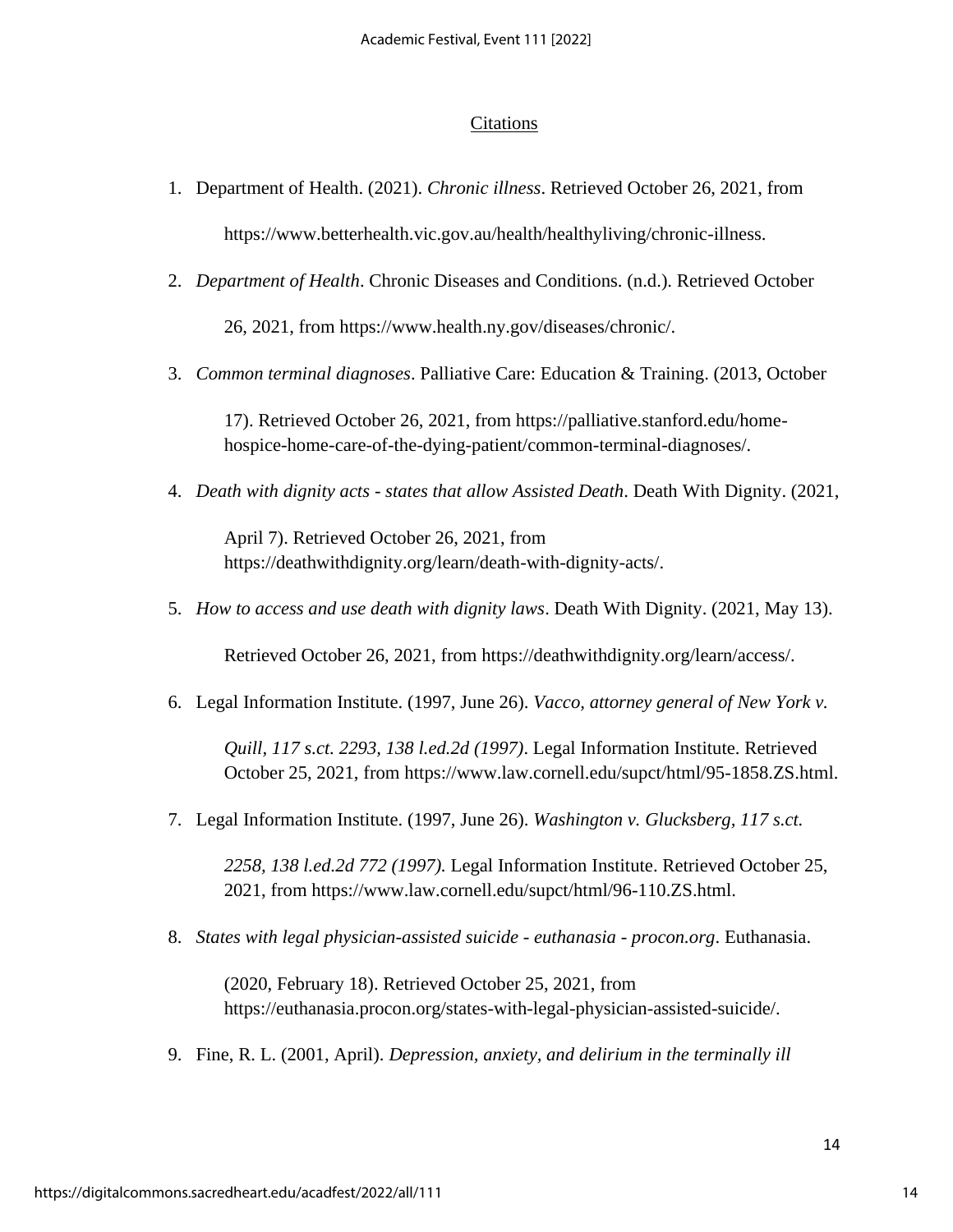## **Citations**

- 1. Department of Health. (2021). *Chronic illness*. Retrieved October 26, 2021, from https://www.betterhealth.vic.gov.au/health/healthyliving/chronic-illness.
- 2. *Department of Health*. Chronic Diseases and Conditions. (n.d.). Retrieved October

26, 2021, from https://www.health.ny.gov/diseases/chronic/.

3. *Common terminal diagnoses*. Palliative Care: Education & Training. (2013, October

17). Retrieved October 26, 2021, from https://palliative.stanford.edu/homehospice-home-care-of-the-dying-patient/common-terminal-diagnoses/.

4. *Death with dignity acts - states that allow Assisted Death*. Death With Dignity. (2021,

April 7). Retrieved October 26, 2021, from https://deathwithdignity.org/learn/death-with-dignity-acts/.

5. *How to access and use death with dignity laws*. Death With Dignity. (2021, May 13).

Retrieved October 26, 2021, from https://deathwithdignity.org/learn/access/.

6. Legal Information Institute. (1997, June 26). *Vacco, attorney general of New York v.* 

*Quill, 117 s.ct. 2293, 138 l.ed.2d (1997)*. Legal Information Institute. Retrieved October 25, 2021, from https://www.law.cornell.edu/supct/html/95-1858.ZS.html.

7. Legal Information Institute. (1997, June 26). *Washington v. Glucksberg, 117 s.ct.* 

*2258, 138 l.ed.2d 772 (1997).* Legal Information Institute. Retrieved October 25, 2021, from https://www.law.cornell.edu/supct/html/96-110.ZS.html.

8. *States with legal physician-assisted suicide - euthanasia - procon.org*. Euthanasia.

(2020, February 18). Retrieved October 25, 2021, from https://euthanasia.procon.org/states-with-legal-physician-assisted-suicide/.

9. Fine, R. L. (2001, April). *Depression, anxiety, and delirium in the terminally ill*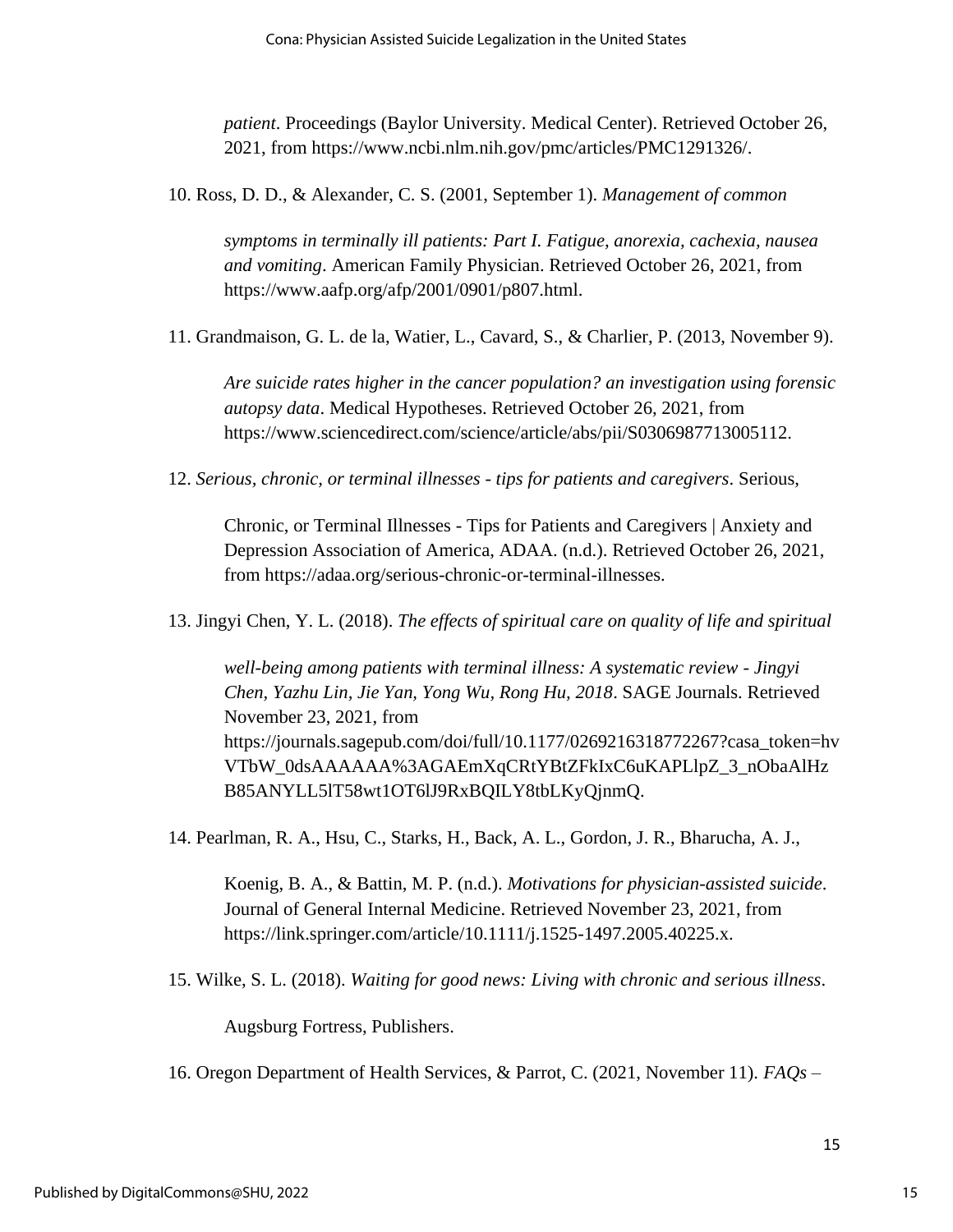*patient*. Proceedings (Baylor University. Medical Center). Retrieved October 26, 2021, from https://www.ncbi.nlm.nih.gov/pmc/articles/PMC1291326/.

10. Ross, D. D., & Alexander, C. S. (2001, September 1). *Management of common* 

*symptoms in terminally ill patients: Part I. Fatigue, anorexia, cachexia, nausea and vomiting*. American Family Physician. Retrieved October 26, 2021, from https://www.aafp.org/afp/2001/0901/p807.html.

11. Grandmaison, G. L. de la, Watier, L., Cavard, S., & Charlier, P. (2013, November 9).

*Are suicide rates higher in the cancer population? an investigation using forensic autopsy data*. Medical Hypotheses. Retrieved October 26, 2021, from https://www.sciencedirect.com/science/article/abs/pii/S0306987713005112.

12. *Serious, chronic, or terminal illnesses - tips for patients and caregivers*. Serious,

Chronic, or Terminal Illnesses - Tips for Patients and Caregivers | Anxiety and Depression Association of America, ADAA. (n.d.). Retrieved October 26, 2021, from https://adaa.org/serious-chronic-or-terminal-illnesses.

13. Jingyi Chen, Y. L. (2018). *The effects of spiritual care on quality of life and spiritual* 

*well-being among patients with terminal illness: A systematic review - Jingyi Chen, Yazhu Lin, Jie Yan, Yong Wu, Rong Hu, 2018*. SAGE Journals. Retrieved November 23, 2021, from https://journals.sagepub.com/doi/full/10.1177/0269216318772267?casa\_token=hv VTbW\_0dsAAAAAA%3AGAEmXqCRtYBtZFkIxC6uKAPLlpZ\_3\_nObaAlHz B85ANYLL5lT58wt1OT6lJ9RxBQILY8tbLKyQjnmQ.

14. Pearlman, R. A., Hsu, C., Starks, H., Back, A. L., Gordon, J. R., Bharucha, A. J.,

Koenig, B. A., & Battin, M. P. (n.d.). *Motivations for physician-assisted suicide*. Journal of General Internal Medicine. Retrieved November 23, 2021, from https://link.springer.com/article/10.1111/j.1525-1497.2005.40225.x.

15. Wilke, S. L. (2018). *Waiting for good news: Living with chronic and serious illness*.

Augsburg Fortress, Publishers.

16. Oregon Department of Health Services, & Parrot, C. (2021, November 11). *FAQs –*